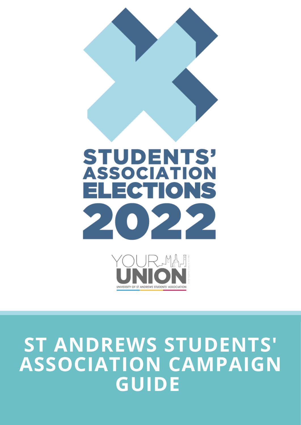



# **ST ANDREWS STUDENTS' ASSOCIATION CAMPAIGN GUIDE**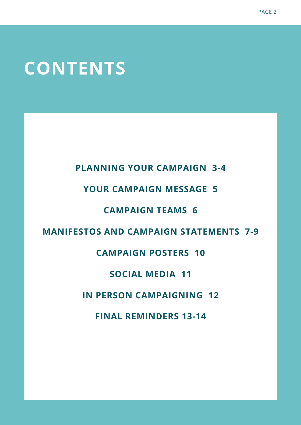## **CONTENTS**

**PLANNING YOUR CAMPAIGN 3-4**

### **YOUR CAMPAIGN MESSAGE 5**

### **CAMPAIGN TEAMS 6**

### **MANIFESTOS AND CAMPAIGN STATEMENTS 7-9**

### **CAMPAIGN POSTERS 10**

### **SOCIAL MEDIA 11**

### **IN PERSON CAMPAIGNING 12**

**FINAL REMINDERS 13-14**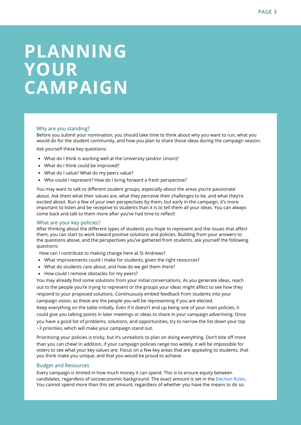## **PLANNING YOUR CAMPAIGN**

#### Why are you standing?

Before you submit your nomination, you should take time to think about why you want to run, what you would do for the student community, and how you plan to share those ideas during the campaign season.

Ask yourself these key questions:

- What do I think is working well at the University (and/or Union)?
- What do I think could be improved?
- What do I value? What do my peers value?
- Who could I represent? How do I bring forward a fresh perspective?

You may want to talk to different student groups, especially about the areas you're passionate about. Ask them what their values are, what they perceive their challenges to be, and what they're excited about. Run a few of your own perspectives by them, but early in the campaign, it's more important to listen and be receptive to students than it is to tell them all your ideas. You can always come back and talk to them more after you've had time to reflect!

#### What are your key policies?

After thinking about the different types of students you hope to represent and the issues that affect them, you can start to work toward positive solutions and policies. Building from your answers to the questions above, and the perspectives you've gathered from students, ask yourself the following questions:

How can I contribute to making change here at St Andrews?

- What improvements could I make for students, given the right resources?
- What do students care about, and how do we get them there?
- How could I remove obstacles for my peers?

You may already find some solutions from your initial conversations. As you generate ideas, reach out to the people you're trying to represent or the groups your ideas might affect to see how they respond to your proposed solutions. Continuously embed feedback from students into your campaign vision, as these are the people you will be representing if you are elected. Keep everything on the table initially. Even if it doesn't end up being one of your main policies, it could give you talking points in later meetings or ideas to share in your campaign advertising. Once you have a good list of problems, solutions, and opportunities, try to narrow the list down your top

~3 priorities, which will make your campaign stand out.

Prioritising your policies is tricky, but it's unrealistic to plan on doing everything. Don't bite off more than you can chew! In addition, if your campaign policies range too widely, it will be impossible for voters to see what your key values are. Focus on a few key areas that are appealing to students, that you think make you unique, and that you would be proud to achieve.

#### Budget and Resources

Every campaign is limited in how much money it can spend. This is to ensure equity between candidates, regardless of socioeconomic background. The exact amount is set in the Election Rules. You cannot spend more than this set amount, regardless of whether you have the means to do so.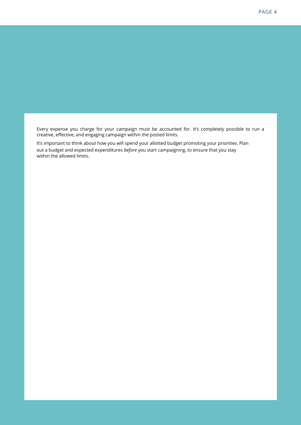Every expense you charge for your campaign must be accounted for. It's completely possible to run a creative, effective, and engaging campaign within the posted limits.

It's important to think about how you will spend your allotted budget promoting your priorities. Plan out a budget and expected expenditures *before* you start campaigning, to ensure that you stay within the allowed limits.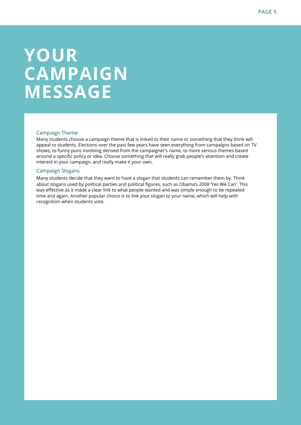## **YOUR CAMPAIGN MESSAGE**

#### Campaign Theme

Many students choose a campaign theme that is linked to their name or something that they think will appeal to students. Elections over the past few years have seen everything from campaigns based on TV shows, to funny puns involving derived from the campaigner's name, to more serious themes based around a specific policy or idea. Choose something that will really grab people's attention and create interest in your campaign, and really make it your own.

#### Campaign Slogans

Many students decide that they want to have a slogan that students can remember them by. Think about slogans used by political parties and political figures, such as Obama's 2008 'Yes We Can'. This was effective as it made a clear link to what people wanted and was simple enough to be repeated time and again. Another popular choice is to link your slogan to your name, which will help with recognition when students vote.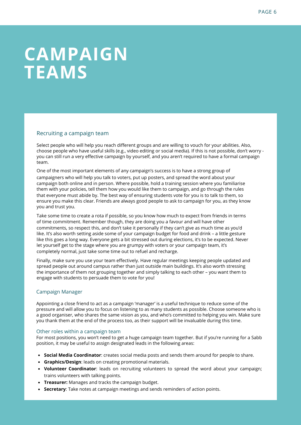## **CAMPAIGN TEAMS**

#### Recruiting a campaign team

Select people who will help you reach different groups and are willing to vouch for your abilities. Also, choose people who have useful skills (e.g., video editing or social media). If this is not possible, don't worry you can still run a very effective campaign by yourself, and you aren't required to have a formal campaign team.

One of the most important elements of any campaign's success is to have a strong group of campaigners who will help you talk to voters, put up posters, and spread the word about your campaign both online and in person. Where possible, hold a training session where you familiarise them with your policies, tell them how you would like them to campaign, and go through the rules that everyone must abide by. The best way of ensuring students vote for you is to talk to them, so ensure you make this clear. Friends are always good people to ask to campaign for you, as they know you and trust you.

Take some time to create a rota if possible, so you know how much to expect from friends in terms of time commitment. Remember though, they are doing you a favour and will have other commitments, so respect this, and don't take it personally if they can't give as much time as you'd like. It's also worth setting aside some of your campaign budget for food and drink – a little gesture like this goes a long way. Everyone gets a bit stressed out during elections, it's to be expected. Never let yourself get to the stage where you are grumpy with voters or your campaign team, it's completely normal, just take some time out to refuel and recharge.

Finally, make sure you use your team effectively. Have regular meetings keeping people updated and spread people out around campus rather than just outside main buildings. It's also worth stressing the importance of them not grouping together and simply talking to each other – you want them to engage with students to persuade them to vote for you!

#### Campaign Manager

Appointing a close friend to act as a campaign 'manager' is a useful technique to reduce some of the pressure and will allow you to focus on listening to as many students as possible. Choose someone who is a good organiser, who shares the same vision as you, and who's committed to helping you win. Make sure you thank them at the end of the process too, as their support will be invaluable during this time.

#### Other roles within a campaign team

For most positions, you won't need to get a huge campaign team together. But if you're running for a Sabb position, it may be useful to assign designated leads in the following areas:

- **Social Media Coordinator**: creates social media posts and sends them around for people to share.
- **Graphics/Design**: leads on creating promotional materials.
- **Volunteer Coordinator**: leads on recruiting volunteers to spread the word about your campaign; trains volunteers with talking points.
- **Treasurer:** Manages and tracks the campaign budget.
- **Secretary**: Take notes at campaign meetings and sends reminders of action points.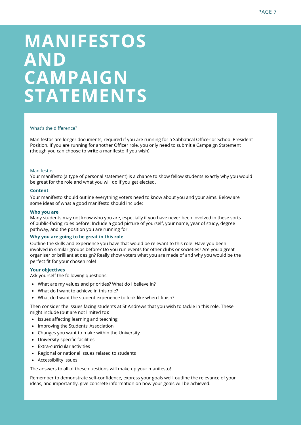## **MANIFESTOS AND CAMPAIGN STATEMENTS**

#### What's the difference?

Manifestos are longer documents, required if you are running for a Sabbatical Officer or School President Position. If you are running for another Officer role, you only need to submit a Campaign Statement (though you can choose to write a manifesto if you wish).

#### Manifestos

Your manifesto (a type of personal statement) is a chance to show fellow students exactly why you would be great for the role and what you will do if you get elected.

#### **Content**

Your manifesto should outline everything voters need to know about you and your aims. Below are some ideas of what a good manifesto should include:

#### **Who you are**

Many students may not know who you are, especially if you have never been involved in these sorts of public-facing roles before! Include a good picture of yourself, your name, year of study, degree pathway, and the position you are running for.

#### **Why you are going to be great in this role**

Outline the skills and experience you have that would be relevant to this role. Have you been involved in similar groups before? Do you run events for other clubs or societies? Are you a great organiser or brilliant at design? Really show voters what you are made of and why you would be the perfect fit for your chosen role!

#### **Your objectives**

Ask yourself the following questions:

- What are my values and priorities? What do I believe in?
- What do I want to achieve in this role?
- What do I want the student experience to look like when I finish?

Then consider the issues facing students at St Andrews that you wish to tackle in this role. These might include (but are not limited to):

- Issues affecting learning and teaching
- Improving the Students' Association
- Changes you want to make within the University
- University-specific facilities
- Extra-curricular activities
- Regional or national issues related to students
- Accessibility issues

The answers to all of these questions will make up your manifesto!

Remember to demonstrate self-confidence, express your goals well, outline the relevance of your ideas, and importantly, give concrete information on how your goals will be achieved.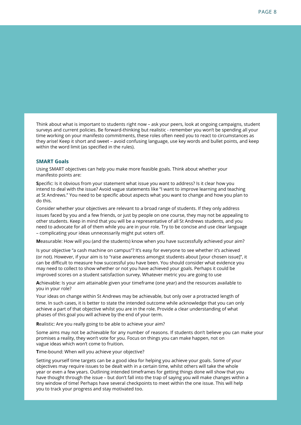Think about what is important to students right now – ask your peers, look at ongoing campaigns, student surveys and current policies. Be forward-thinking but realistic - remember you won't be spending all your time working on your manifesto commitments, these roles often need you to react to circumstances as they arise! Keep it short and sweet – avoid confusing language, use key words and bullet points, and keep within the word limit (as specified in the rules).

#### **SMART Goals**

Using SMART objectives can help you make more feasible goals. Think about whether your manifesto points are:

**S**pecific: Is it obvious from your statement what issue you want to address? Is it clear how you intend to deal with the issue? Avoid vague statements like "I want to improve learning and teaching at St Andrews." You need to be specific about aspects what you want to change and how you plan to do this.

Consider whether your objectives are relevant to a broad range of students. If they only address issues faced by you and a few friends, or just by people on one course, they may not be appealing to other students. Keep in mind that you will be a representative of all St Andrews students, and you need to advocate for all of them while you are in your role. Try to be concise and use clear language – complicating your ideas unnecessarily might put voters off.

**M**easurable: How will you (and the students) know when you have successfully achieved your aim?

Is your objective "a cash machine on campus"? It's easy for everyone to see whether it's achieved (or not). However, if your aim is to "raise awareness amongst students about [your chosen issue]", it can be difficult to measure how successful you have been. You should consider what evidence you may need to collect to show whether or not you have achieved your goals. Perhaps it could be improved scores on a student satisfaction survey. Whatever metric you are going to use

**A**chievable: Is your aim attainable given your timeframe (one year) and the resources available to you in your role?

Your ideas on change within St Andrews may be achievable, but only over a protracted length of time. In such cases, it is better to state the intended outcome while acknowledge that you can only achieve a part of that objective whilst you are in the role. Provide a clear understanding of what phases of this goal you will achieve by the end of your term.

**R**ealistic: Are you really going to be able to achieve your aim?

Some aims may not be achievable for any number of reasons. If students don't believe you can make your promises a reality, they won't vote for you. Focus on things you can make happen, not on vague ideas which won't come to fruition.

**T**ime-bound: When will you achieve your objective?

Setting yourself time targets can be a good idea for helping you achieve your goals. Some of your objectives may require issues to be dealt with in a certain time, whilst others will take the whole year or even a few years. Outlining intended timeframes for getting things done will show that you have thought through the issue – but don't fall into the trap of saying you will make changes within a tiny window of time! Perhaps have several checkpoints to meet within the one issue. This will help you to track your progress and stay motivated too.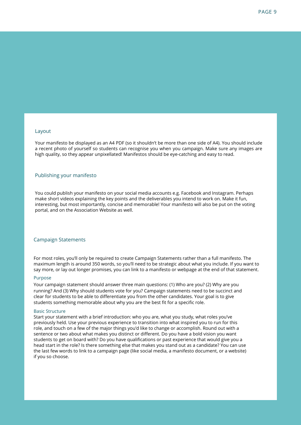#### Layout

Your manifesto be displayed as an A4 PDF (so it shouldn't be more than one side of A4). You should include a recent photo of yourself so students can recognise you when you campaign. Make sure any images are high quality, so they appear unpixellated! Manifestos should be eye-catching and easy to read.

#### Publishing your manifesto

You could publish your manifesto on your social media accounts e.g. Facebook and Instagram. Perhaps make short videos explaining the key points and the deliverables you intend to work on. Make it fun, interesting, but most importantly, concise and memorable! Your manifesto will also be put on the voting portal, and on the Association Website as well.

#### Campaign Statements

For most roles, you'll only be required to create Campaign Statements rather than a full manifesto. The maximum length is around 350 words, so you'll need to be strategic about what you include. If you want to say more, or lay out longer promises, you can link to a manifesto or webpage at the end of that statement.

#### Purpose

Your campaign statement should answer three main questions: (1) Who are you? (2) Why are you running? And (3) Why should students vote for you? Campaign statements need to be succinct and clear for students to be able to differentiate you from the other candidates. Your goal is to give students something memorable about why you are the best fit for a specific role.

#### Basic Structure

Start your statement with a brief introduction: who you are, what you study, what roles you've previously held. Use your previous experience to transition into what inspired you to run for this role, and touch on a few of the major things you'd like to change or accomplish. Round out with a sentence or two about what makes you distinct or different. Do you have a bold vision you want students to get on board with? Do you have qualifications or past experience that would give you a head start in the role? Is there something else that makes you stand out as a candidate? You can use the last few words to link to a campaign page (like social media, a manifesto document, or a website) if you so choose.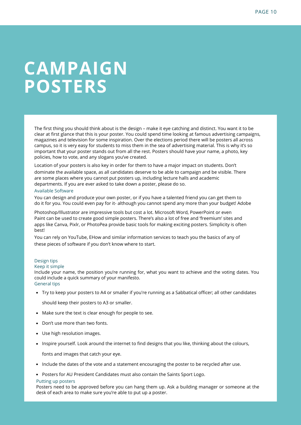### **CAMPAIGN POSTERS**

The first thing you should think about is the design – make it eye catching and distinct. You want it to be clear at first glance that this is your poster. You could spend time looking at famous advertising campaigns, magazines and television for some inspiration. Over the elections period there will be posters all across campus, so it is very easy for students to miss them in the sea of advertising material. This is why it's so important that your poster stands out from all the rest. Posters should have your name, a photo, key policies, how to vote, and any slogans you've created.

Location of your posters is also key in order for them to have a major impact on students. Don't dominate the available space, as all candidates deserve to be able to campaign and be visible. There are some places where you cannot put posters up, including lecture halls and academic departments. If you are ever asked to take down a poster, please do so.

#### Available Software

You can design and produce your own poster, or if you have a talented friend you can get them to do it for you. You could even pay for it- although you cannot spend any more than your budget! Adobe

Photoshop/Illustrator are impressive tools but cost a lot. Microsoft Word, PowerPoint or even Paint can be used to create good simple posters. There's also a lot of free and 'freemium' sites and apps like Canva, Pixlr, or PhotoPea provide basic tools for making exciting posters. Simplicity is often best!

You can rely on YouTube, EHow and similar information services to teach you the basics of any of these pieces of software if you don't know where to start.

#### Design tips

#### Keep it simple

Include your name, the position you're running for, what you want to achieve and the voting dates. You could include a quick summary of your manifesto. General tips

Try to keep your posters to A4 or smaller if you're running as a Sabbatical officer; all other candidates

should keep their posters to A3 or smaller.

- Make sure the text is clear enough for people to see.
- Don't use more than two fonts.
- Use high resolution images.
- Inspire yourself. Look around the internet to find designs that you like, thinking about the colours,

fonts and images that catch your eye.

- Include the dates of the vote and a statement encouraging the poster to be recycled after use.
- Posters for AU President Candidates must also contain the Saints Sport Logo.

#### Putting up posters

Posters need to be approved before you can hang them up. Ask a building manager or someone at the desk of each area to make sure you're able to put up a poster.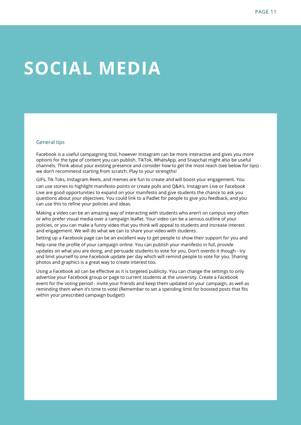## **SOCIAL MEDIA**

#### General tips

Facebook is a useful campaigning tool, however Instagram can be more interactive and gives you more options for the type of content you can publish. TikTok, WhatsApp, and Snapchat might also be useful channels. Think about your existing presence and consider how to get the most reach (see below for tips) we don't recommend starting from scratch. Play to your strengths!

GIFs, Tik Toks, Instagram Reels, and memes are fun to create and will boost your engagement. You can use stories to highlight manifesto points or create polls and Q&A's. Instagram Live or Facebook Live are good opportunities to expand on your manifesto and give students the chance to ask you questions about your objectives. You could link to a Padlet for people to give you feedback, and you can use this to refine your policies and ideas.

Making a video can be an amazing way of interacting with students who aren't on campus very often or who prefer visual media over a campaign leaflet. Your video can be a serious outline of your policies, or you can make a funny video that you think will appeal to students and increase interest and engagement. We will do what we can to share your video with students.

Setting up a Facebook page can be an excellent way to get people to show their support for you and help raise the profile of your campaign online. You can publish your manifesto in full, provide updates on what you are doing, and persuade students to vote for you. Don't overdo it though - try and limit yourself to one Facebook update per day which will remind people to vote for you. Sharing photos and graphics is a great way to create interest too.

Using a Facebook ad can be effective as it is targeted publicity. You can change the settings to only advertise your Facebook group or page to current students at the university. Create a Facebook event for the voting period - invite your friends and keep them updated on your campaign, as well as reminding them when it's time to vote! (Remember to set a spending limit for boosted posts that fits within your prescribed campaign budget!)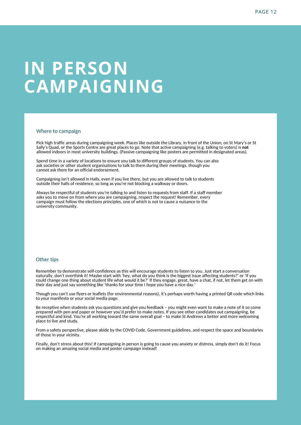## **IN PERSON CAMPAIGNING**

#### Where to campaign

Pick high traffic areas during campaigning week. Places like outside the Library, in front of the Union, on St Mary's or St Sally's Quad, or the Sports Centre are great places to go. Note that active campaigning (e.g. talking to voters) is **not** allowed indoors in most university buildings. (Passive campaigning like posters are permitted in designated areas).

Spend time in a variety of locations to ensure you talk to different groups of students. You can also ask societies or other student organisations to talk to them during their meetings, though you cannot ask them for an official endorsement.

Campaigning isn't allowed in Halls, even if you live there, but you are allowed to talk to students outside their halls of residence, so long as you're not blocking a walkway or doors.

Always be respectful of students you're talking to and listen to requests from staff. If a staff member asks you to move on from where you are campaigning, respect the request! Remember, every campaign must follow the elections principles, one of which is not to cause a nuisance to the university community.

#### Other tips

Remember to demonstrate self-confidence as this will encourage students to listen to you. Just start a conversation naturally, don't overthink it! Maybe start with 'hey, what do you think is the biggest issue affecting students?' or 'if you could change one thing about student life what would it be?' If they engage, great, have a chat, if not, let them get on with their day and just say something like 'thanks for your time I hope you have a nice day.'

Though you can't use flyers or leaflets (for environmental reasons), it's perhaps worth having a printed QR code which links to your manifesto or your social media page.

Be receptive when students ask you questions and give you feedback – you might even want to make a note of it so come prepared with pen and paper or however you'd prefer to make notes. If you see other candidates out campaigning, be respectful and kind. You're all working toward the same overall goal – to make St Andrews a better and more welcoming place to live and study.

From a safety perspective, please abide by the COVID Code, Government guidelines, and respect the space and boundaries of those in your vicinity.

Finally, don't stress about this! If campaigning in person is going to cause you anxiety or distress, simply don't do it! Focus on making an amazing social media and poster campaign instead!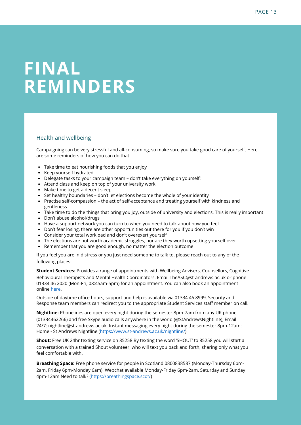## **FINAL REMINDERS**

#### Health and wellbeing

Campaigning can be very stressful and all-consuming, so make sure you take good care of yourself. Here are some reminders of how you can do that:

- Take time to eat nourishing foods that you enjoy
- Keep yourself hydrated
- Delegate tasks to your campaign team don't take everything on yourself!
- Attend class and keep on top of your university work
- Make time to get a decent sleep
- Set healthy boundaries don't let elections become the whole of your identity
- Practise self-compassion the act of self-acceptance and treating yourself with kindness and gentleness
- Take time to do the things that bring you joy, outside of university and elections. This is really important
- Don't abuse alcohol/drugs
- Have a support network you can turn to when you need to talk about how you feel
- Don't fear losing, there are other opportunities out there for you if you don't win
- Consider your total workload and don't overexert yourself
- The elections are not worth academic struggles, nor are they worth upsetting yourself over
- Remember that you are good enough, no matter the election outcome

If you feel you are in distress or you just need someone to talk to, please reach out to any of the following places:

**Student Services:** Provides a range of appointments with Wellbeing Advisers, Counsellors, Cognitive Behavioural Therapists and Mental Health Coordinators. Email TheASC@st-andrews.ac.uk or phone 01334 46 2020 (Mon-Fri, 08:45am-5pm) for an appointment. You can also book an appointment online here.

Outside of daytime office hours, support and help is available via 01334 46 8999. Security and Response team members can redirect you to the appropriate Student Services staff member on call.

**Nightline:** Phonelines are open every night during the semester 8pm-7am from any UK phone (01334462266) and free Skype audio calls anywhere in the world (@StAndrewsNightline), Email 24/7: nightline@st-andrews.ac.uk, Instant messaging every night during the semester 8pm-12am: Home - St Andrews Nightline (https://www.st-andrews.ac.uk/nightline/)

**Shout:** Free UK 24hr texting service on 85258 By texting the word 'SHOUT' to 85258 you will start a conversation with a trained Shout volunteer, who will text you back and forth, sharing only what you feel comfortable with.

**Breathing Space:** Free phone service for people in Scotland 0800838587 (Monday-Thursday 6pm-2am, Friday 6pm-Monday 6am). Webchat available Monday-Friday 6pm-2am, Saturday and Sunday 4pm-12am Need to talk? (https://breathingspace.scot/)